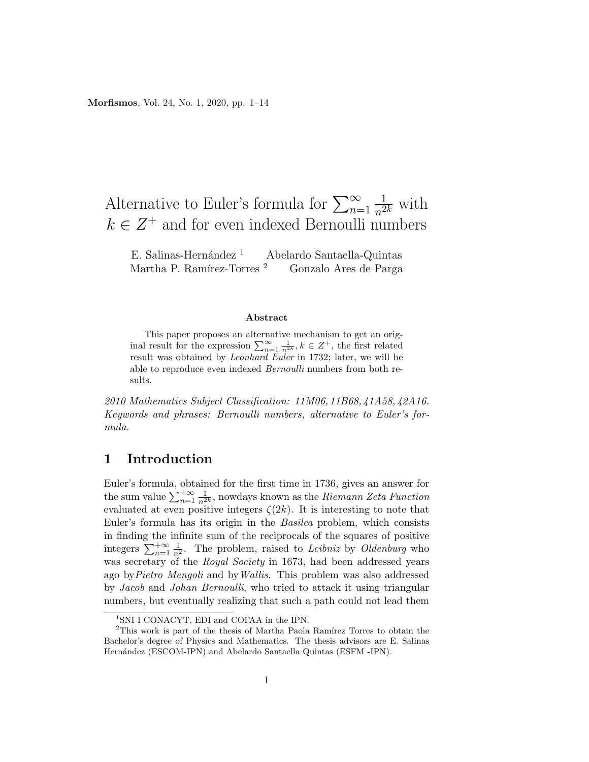## Alternative to Euler's formula for  $\sum_{n=1}^{\infty}$  $\frac{1}{n^{2k}}$  with  $k \in \mathbb{Z}^+$  and for even indexed Bernoulli numbers

E. Salinas-Hernández <sup>1</sup> Abelardo Santaella-Quintas Martha P. Ramírez-Torres <sup>2</sup> Gonzalo Ares de Parga

#### Abstract

This paper proposes an alternative mechanism to get an original result for the expression  $\sum_{n=1}^{\infty} \frac{1}{n^{2k}}$ ,  $k \in \mathbb{Z}^+$ , the first related result was obtained by Leonhard Euler in 1732; later, we will be able to reproduce even indexed Bernoulli numbers from both results.

2010 Mathematics Subject Classification: 11M06, 11B68, 41A58, 42A16. Keywords and phrases: Bernoulli numbers, alternative to Euler's formula.

### 1 Introduction

Euler's formula, obtained for the first time in 1736, gives an answer for the sum value  $\sum_{n=1}^{+\infty} \frac{1}{n^{2k}}$ , nowdays known as the *Riemann Zeta Function* evaluated at even positive integers  $\zeta(2k)$ . It is interesting to note that Euler's formula has its origin in the Basilea problem, which consists in finding the infinite sum of the reciprocals of the squares of positive integers  $\sum_{n=1}^{+\infty} \frac{1}{n^2}$ . The problem, raised to *Leibniz* by *Oldenburg* who was secretary of the Royal Society in 1673, had been addressed years ago byPietro Mengoli and byWallis. This problem was also addressed by Jacob and Johan Bernoulli, who tried to attack it using triangular numbers, but eventually realizing that such a path could not lead them

<sup>&</sup>lt;sup>1</sup>SNI I CONACYT, EDI and COFAA in the IPN.

 $2$ This work is part of the thesis of Martha Paola Ramírez Torres to obtain the Bachelor's degree of Physics and Mathematics. The thesis advisors are E. Salinas Hernández (ESCOM-IPN) and Abelardo Santaella Quintas (ESFM -IPN).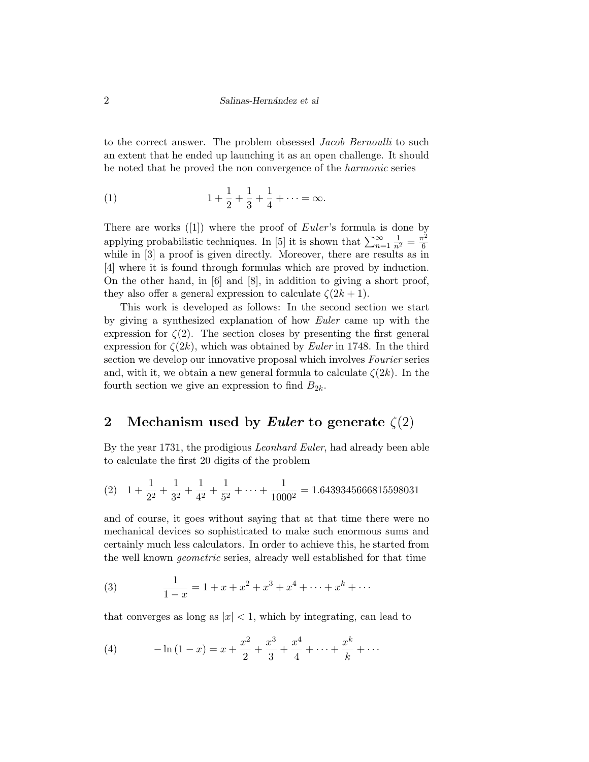to the correct answer. The problem obsessed Jacob Bernoulli to such an extent that he ended up launching it as an open challenge. It should be noted that he proved the non convergence of the harmonic series

(1) 
$$
1 + \frac{1}{2} + \frac{1}{3} + \frac{1}{4} + \dots = \infty.
$$

There are works  $([1])$  where the proof of *Euler's* formula is done by applying probabilistic techniques. In [5] it is shown that  $\sum_{n=1}^{\infty} \frac{1}{n^2} = \frac{\pi^2}{6}$ 6 while in [3] a proof is given directly. Moreover, there are results as in [4] where it is found through formulas which are proved by induction. On the other hand, in [6] and [8], in addition to giving a short proof, they also offer a general expression to calculate  $\zeta(2k+1)$ .

This work is developed as follows: In the second section we start by giving a synthesized explanation of how Euler came up with the expression for  $\zeta(2)$ . The section closes by presenting the first general expression for  $\zeta(2k)$ , which was obtained by *Euler* in 1748. In the third section we develop our innovative proposal which involves Fourier series and, with it, we obtain a new general formula to calculate  $\zeta(2k)$ . In the fourth section we give an expression to find  $B_{2k}$ .

### 2 Mechanism used by Euler to generate  $\zeta(2)$

By the year 1731, the prodigious Leonhard Euler, had already been able to calculate the first 20 digits of the problem

(2) 
$$
1 + \frac{1}{2^2} + \frac{1}{3^2} + \frac{1}{4^2} + \frac{1}{5^2} + \dots + \frac{1}{1000^2} = 1.6439345666815598031
$$

and of course, it goes without saying that at that time there were no mechanical devices so sophisticated to make such enormous sums and certainly much less calculators. In order to achieve this, he started from the well known geometric series, already well established for that time

(3) 
$$
\frac{1}{1-x} = 1 + x + x^2 + x^3 + x^4 + \dots + x^k + \dots
$$

that converges as long as  $|x| < 1$ , which by integrating, can lead to

(4) 
$$
-\ln(1-x) = x + \frac{x^2}{2} + \frac{x^3}{3} + \frac{x^4}{4} + \dots + \frac{x^k}{k} + \dots
$$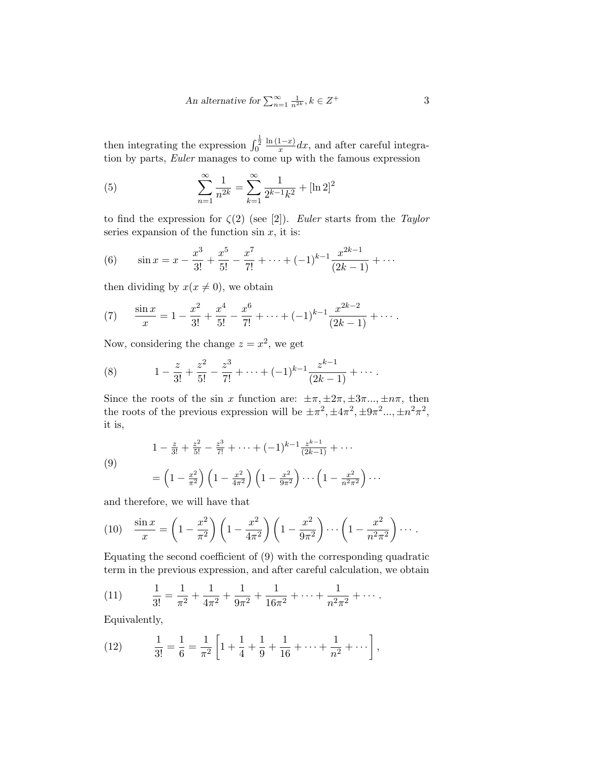An alternative for 
$$
\sum_{n=1}^{\infty} \frac{1}{n^{2k}}, k \in \mathbb{Z}^+
$$
 3

then integrating the expression  $\int_0^{\frac{1}{2}}$  $ln(1-x)$  $\frac{1-x}{x}dx$ , and after careful integration by parts, *Euler* manages to come up with the famous expression

(5) 
$$
\sum_{n=1}^{\infty} \frac{1}{n^{2k}} = \sum_{k=1}^{\infty} \frac{1}{2^{k-1}k^2} + [\ln 2]^2
$$

to find the expression for  $\zeta(2)$  (see [2]). Euler starts from the Taylor series expansion of the function  $\sin x$ , it is:

(6) 
$$
\sin x = x - \frac{x^3}{3!} + \frac{x^5}{5!} - \frac{x^7}{7!} + \dots + (-1)^{k-1} \frac{x^{2k-1}}{(2k-1)} + \dots
$$

then dividing by  $x(x \neq 0)$ , we obtain

(7) 
$$
\frac{\sin x}{x} = 1 - \frac{x^2}{3!} + \frac{x^4}{5!} - \frac{x^6}{7!} + \dots + (-1)^{k-1} \frac{x^{2k-2}}{(2k-1)} + \dots
$$

Now, considering the change  $z = x^2$ , we get

(8) 
$$
1 - \frac{z}{3!} + \frac{z^2}{5!} - \frac{z^3}{7!} + \dots + (-1)^{k-1} \frac{z^{k-1}}{(2k-1)} + \dots
$$

Since the roots of the sin x function are:  $\pm \pi, \pm 2\pi, \pm 3\pi \dots, \pm n\pi$ , then the roots of the previous expression will be  $\pm \pi^2$ ,  $\pm 4\pi^2$ ,  $\pm 9\pi^2$ ,...,  $\pm n^2 \pi^2$ , it is,

(9)  

$$
1 - \frac{z}{3!} + \frac{z^2}{5!} - \frac{z^3}{7!} + \dots + (-1)^{k-1} \frac{z^{k-1}}{(2k-1)} + \dots
$$

$$
= \left(1 - \frac{x^2}{\pi^2}\right) \left(1 - \frac{x^2}{4\pi^2}\right) \left(1 - \frac{x^2}{9\pi^2}\right) \dots \left(1 - \frac{x^2}{n^2\pi^2}\right) \dots
$$

and therefore, we will have that

(10) 
$$
\frac{\sin x}{x} = \left(1 - \frac{x^2}{\pi^2}\right) \left(1 - \frac{x^2}{4\pi^2}\right) \left(1 - \frac{x^2}{9\pi^2}\right) \cdots \left(1 - \frac{x^2}{n^2 \pi^2}\right) \cdots
$$

Equating the second coefficient of (9) with the corresponding quadratic term in the previous expression, and after careful calculation, we obtain

(11) 
$$
\frac{1}{3!} = \frac{1}{\pi^2} + \frac{1}{4\pi^2} + \frac{1}{9\pi^2} + \frac{1}{16\pi^2} + \dots + \frac{1}{n^2\pi^2} + \dots
$$

Equivalently,

(12) 
$$
\frac{1}{3!} = \frac{1}{6} = \frac{1}{\pi^2} \left[ 1 + \frac{1}{4} + \frac{1}{9} + \frac{1}{16} + \dots + \frac{1}{n^2} + \dots \right],
$$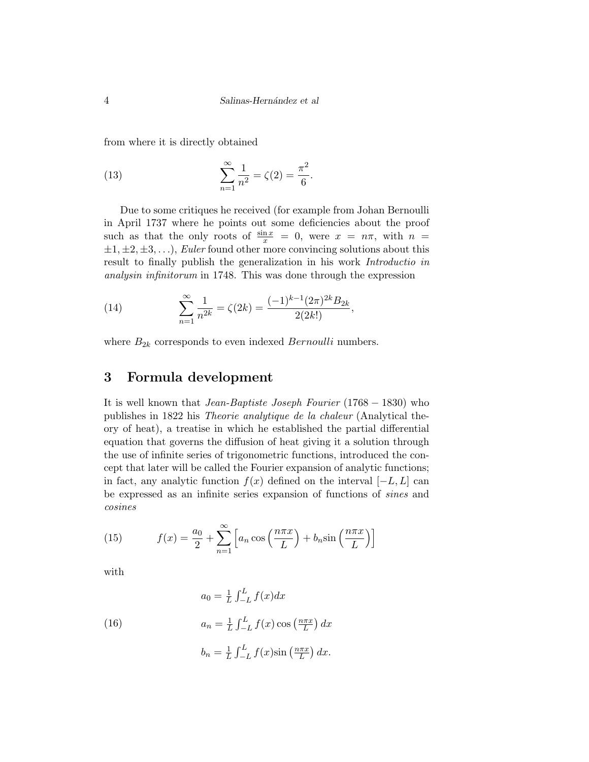from where it is directly obtained

(13) 
$$
\sum_{n=1}^{\infty} \frac{1}{n^2} = \zeta(2) = \frac{\pi^2}{6}.
$$

Due to some critiques he received (for example from Johan Bernoulli in April 1737 where he points out some deficiencies about the proof such as that the only roots of  $\frac{\sin x}{x} = 0$ , were  $x = n\pi$ , with  $n =$  $\pm 1, \pm 2, \pm 3, \ldots$ , Euler found other more convincing solutions about this result to finally publish the generalization in his work Introductio in analysin infinitorum in 1748. This was done through the expression

(14) 
$$
\sum_{n=1}^{\infty} \frac{1}{n^{2k}} = \zeta(2k) = \frac{(-1)^{k-1}(2\pi)^{2k}B_{2k}}{2(2k!)},
$$

where  $B_{2k}$  corresponds to even indexed *Bernoulli* numbers.

# 3 Formula development

It is well known that Jean-Baptiste Joseph Fourier (1768 − 1830) who publishes in 1822 his Theorie analytique de la chaleur (Analytical theory of heat), a treatise in which he established the partial differential equation that governs the diffusion of heat giving it a solution through the use of infinite series of trigonometric functions, introduced the concept that later will be called the Fourier expansion of analytic functions; in fact, any analytic function  $f(x)$  defined on the interval  $[-L, L]$  can be expressed as an infinite series expansion of functions of sines and cosines

(15) 
$$
f(x) = \frac{a_0}{2} + \sum_{n=1}^{\infty} \left[ a_n \cos\left(\frac{n\pi x}{L}\right) + b_n \sin\left(\frac{n\pi x}{L}\right) \right]
$$

with

(16) 
$$
a_0 = \frac{1}{L} \int_{-L}^{L} f(x) dx
$$

$$
a_n = \frac{1}{L} \int_{-L}^{L} f(x) \cos\left(\frac{n\pi x}{L}\right) dx
$$

$$
b_n = \frac{1}{L} \int_{-L}^{L} f(x) \sin\left(\frac{n\pi x}{L}\right) dx.
$$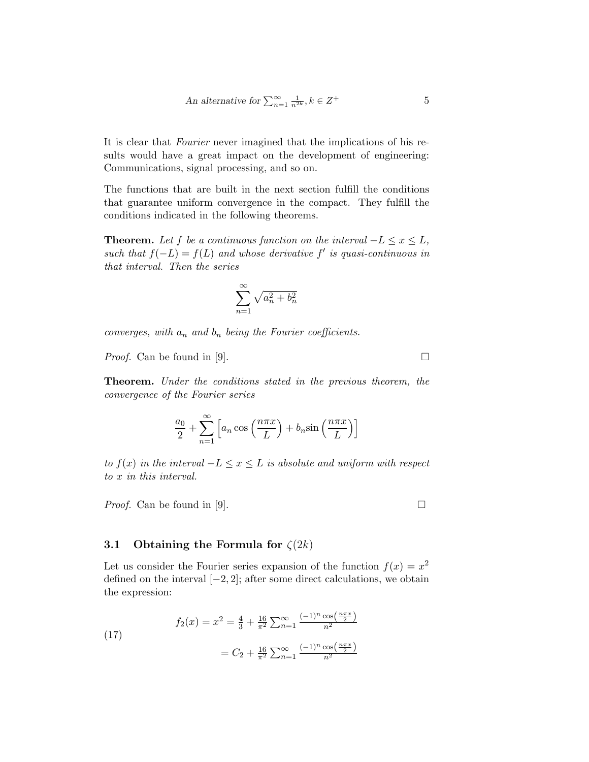An alternative for 
$$
\sum_{n=1}^{\infty} \frac{1}{n^{2k}}, k \in \mathbb{Z}^+
$$
 5

It is clear that Fourier never imagined that the implications of his results would have a great impact on the development of engineering: Communications, signal processing, and so on.

The functions that are built in the next section fulfill the conditions that guarantee uniform convergence in the compact. They fulfill the conditions indicated in the following theorems.

**Theorem.** Let f be a continuous function on the interval  $-L \leq x \leq L$ , such that  $f(-L) = f(L)$  and whose derivative f' is quasi-continuous in that interval. Then the series

$$
\sum_{n=1}^{\infty} \sqrt{a_n^2 + b_n^2}
$$

converges, with  $a_n$  and  $b_n$  being the Fourier coefficients.

*Proof.* Can be found in [9].  $\Box$ 

Theorem. Under the conditions stated in the previous theorem, the convergence of the Fourier series

$$
\frac{a_0}{2} + \sum_{n=1}^{\infty} \left[ a_n \cos\left(\frac{n\pi x}{L}\right) + b_n \sin\left(\frac{n\pi x}{L}\right) \right]
$$

to  $f(x)$  in the interval  $-L \le x \le L$  is absolute and uniform with respect to x in this interval.

*Proof.* Can be found in [9].  $\Box$ 

#### 3.1 Obtaining the Formula for  $\zeta(2k)$

Let us consider the Fourier series expansion of the function  $f(x) = x^2$ defined on the interval  $[-2, 2]$ ; after some direct calculations, we obtain the expression:

(17)  

$$
f_2(x) = x^2 = \frac{4}{3} + \frac{16}{\pi^2} \sum_{n=1}^{\infty} \frac{(-1)^n \cos(\frac{n\pi x}{2})}{n^2}
$$

$$
= C_2 + \frac{16}{\pi^2} \sum_{n=1}^{\infty} \frac{(-1)^n \cos(\frac{n\pi x}{2})}{n^2}
$$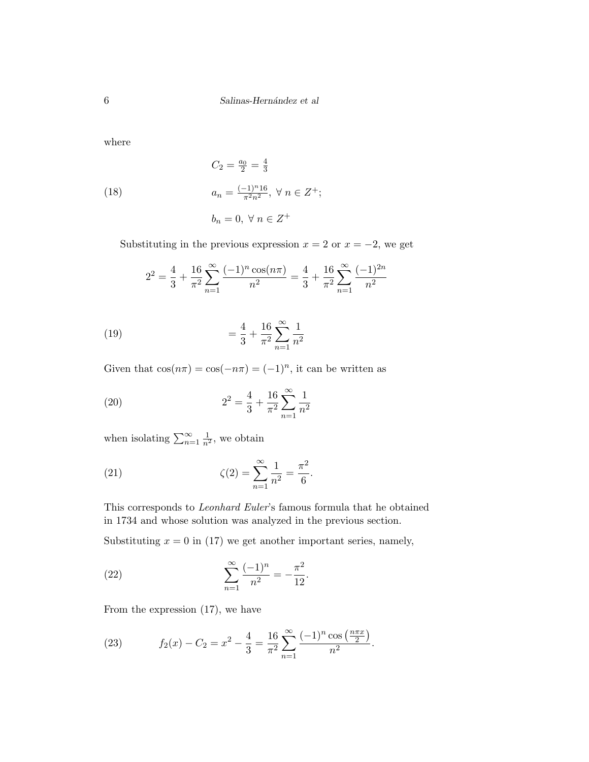where

(18) 
$$
C_2 = \frac{a_0}{2} = \frac{4}{3}
$$

$$
a_n = \frac{(-1)^n 16}{\pi^2 n^2}, \ \forall \ n \in Z^+;
$$

$$
b_n = 0, \ \forall \ n \in Z^+
$$

Substituting in the previous expression  $x = 2$  or  $x = -2$ , we get

$$
2^{2} = \frac{4}{3} + \frac{16}{\pi^{2}} \sum_{n=1}^{\infty} \frac{(-1)^{n} \cos(n\pi)}{n^{2}} = \frac{4}{3} + \frac{16}{\pi^{2}} \sum_{n=1}^{\infty} \frac{(-1)^{2n}}{n^{2}}
$$

(19) 
$$
= \frac{4}{3} + \frac{16}{\pi^2} \sum_{n=1}^{\infty} \frac{1}{n^2}
$$

Given that  $\cos(n\pi) = \cos(-n\pi) = (-1)^n$ , it can be written as

(20) 
$$
2^{2} = \frac{4}{3} + \frac{16}{\pi^{2}} \sum_{n=1}^{\infty} \frac{1}{n^{2}}
$$

when isolating  $\sum_{n=1}^{\infty} \frac{1}{n^2}$ , we obtain

(21) 
$$
\zeta(2) = \sum_{n=1}^{\infty} \frac{1}{n^2} = \frac{\pi^2}{6}.
$$

This corresponds to Leonhard Euler's famous formula that he obtained in 1734 and whose solution was analyzed in the previous section.

Substituting  $x = 0$  in (17) we get another important series, namely,

(22) 
$$
\sum_{n=1}^{\infty} \frac{(-1)^n}{n^2} = -\frac{\pi^2}{12}.
$$

From the expression (17), we have

(23) 
$$
f_2(x) - C_2 = x^2 - \frac{4}{3} = \frac{16}{\pi^2} \sum_{n=1}^{\infty} \frac{(-1)^n \cos\left(\frac{n\pi x}{2}\right)}{n^2}.
$$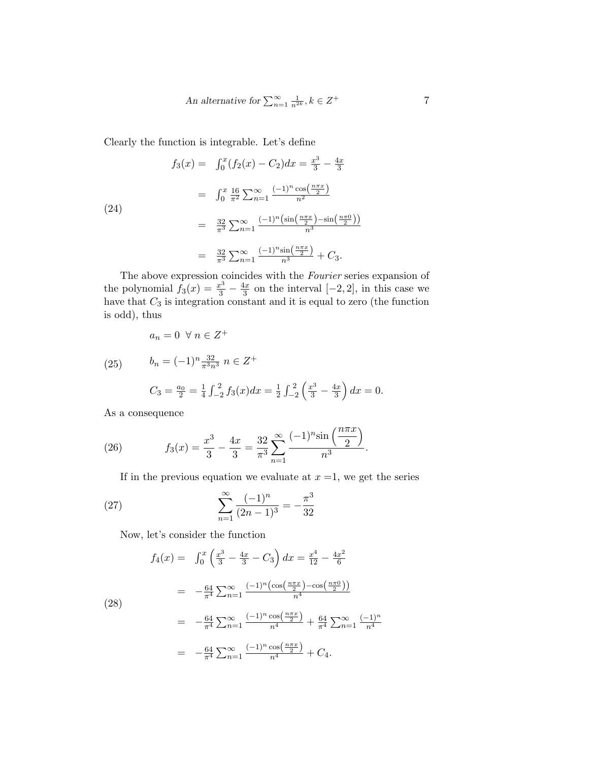An alternative for 
$$
\sum_{n=1}^{\infty} \frac{1}{n^{2k}}, k \in \mathbb{Z}^+
$$
 7

Clearly the function is integrable. Let's define

(24)  
\n
$$
f_3(x) = \int_0^x (f_2(x) - C_2) dx = \frac{x^3}{3} - \frac{4x}{3}
$$
\n
$$
= \int_0^x \frac{16}{\pi^2} \sum_{n=1}^\infty \frac{(-1)^n \cos(\frac{n\pi x}{2})}{n^2}
$$
\n
$$
= \frac{32}{\pi^3} \sum_{n=1}^\infty \frac{(-1)^n (\sin(\frac{n\pi x}{2}) - \sin(\frac{n\pi 0}{2}))}{n^3}
$$
\n
$$
= \frac{32}{\pi^3} \sum_{n=1}^\infty \frac{(-1)^n \sin(\frac{n\pi x}{2})}{n^3} + C_3.
$$

The above expression coincides with the Fourier series expansion of the polynomial  $f_3(x) = \frac{x^3}{3} - \frac{4x}{3}$  $\frac{4x}{3}$  on the interval  $[-2, 2]$ , in this case we have that  $C_3$  is integration constant and it is equal to zero (the function is odd), thus

$$
a_n = 0 \ \forall \ n \in Z^+
$$

(25) 
$$
b_n = (-1)^n \frac{32}{\pi^3 n^3} n \in Z^+
$$

$$
C_3 = \frac{a_0}{2} = \frac{1}{4} \int_{-2}^2 f_3(x) dx = \frac{1}{2} \int_{-2}^2 \left(\frac{x^3}{3} - \frac{4x}{3}\right) dx = 0.
$$

As a consequence

(26) 
$$
f_3(x) = \frac{x^3}{3} - \frac{4x}{3} = \frac{32}{\pi^3} \sum_{n=1}^{\infty} \frac{(-1)^n \sin\left(\frac{n\pi x}{2}\right)}{n^3}.
$$

If in the previous equation we evaluate at  $x = 1$ , we get the series

(27) 
$$
\sum_{n=1}^{\infty} \frac{(-1)^n}{(2n-1)^3} = -\frac{\pi^3}{32}
$$

Now, let's consider the function

(28)  
\n
$$
f_4(x) = \int_0^x \left(\frac{x^3}{3} - \frac{4x}{3} - C_3\right) dx = \frac{x^4}{12} - \frac{4x^2}{6}
$$
\n
$$
= -\frac{64}{\pi^4} \sum_{n=1}^\infty \frac{(-1)^n \left(\cos\left(\frac{n\pi x}{2}\right) - \cos\left(\frac{n\pi 0}{2}\right)\right)}{n^4}
$$
\n
$$
= -\frac{64}{\pi^4} \sum_{n=1}^\infty \frac{(-1)^n \cos\left(\frac{n\pi x}{2}\right)}{n^4} + \frac{64}{\pi^4} \sum_{n=1}^\infty \frac{(-1)^n}{n^4}
$$
\n
$$
= -\frac{64}{\pi^4} \sum_{n=1}^\infty \frac{(-1)^n \cos\left(\frac{n\pi x}{2}\right)}{n^4} + C_4.
$$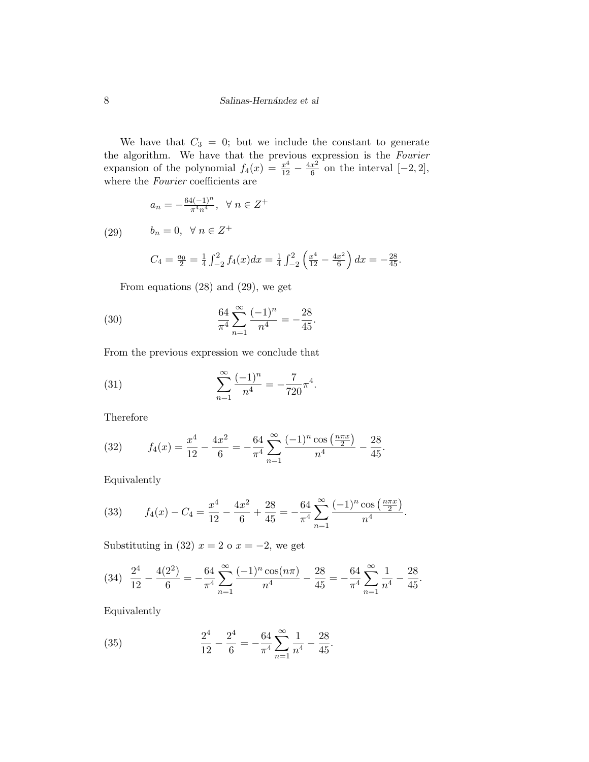We have that  $C_3 = 0$ ; but we include the constant to generate the algorithm. We have that the previous expression is the Fourier expansion of the polynomial  $f_4(x) = \frac{x^4}{12} - \frac{4x^2}{6}$  $\frac{x^2}{6}$  on the interval  $[-2, 2]$ , where the *Fourier* coefficients are

$$
a_n = -\frac{64(-1)^n}{\pi^4 n^4}, \ \ \forall \ n \in Z^+
$$

(29)  $b_n = 0, \forall n \in \mathbb{Z}^+$ 

$$
C_4 = \frac{a_0}{2} = \frac{1}{4} \int_{-2}^{2} f_4(x) dx = \frac{1}{4} \int_{-2}^{2} \left(\frac{x^4}{12} - \frac{4x^2}{6}\right) dx = -\frac{28}{45}.
$$

From equations (28) and (29), we get

(30) 
$$
\frac{64}{\pi^4} \sum_{n=1}^{\infty} \frac{(-1)^n}{n^4} = -\frac{28}{45}.
$$

From the previous expression we conclude that

(31) 
$$
\sum_{n=1}^{\infty} \frac{(-1)^n}{n^4} = -\frac{7}{720} \pi^4.
$$

Therefore

(32) 
$$
f_4(x) = \frac{x^4}{12} - \frac{4x^2}{6} = -\frac{64}{\pi^4} \sum_{n=1}^{\infty} \frac{(-1)^n \cos\left(\frac{n\pi x}{2}\right)}{n^4} - \frac{28}{45}.
$$

Equivalently

(33) 
$$
f_4(x) - C_4 = \frac{x^4}{12} - \frac{4x^2}{6} + \frac{28}{45} = -\frac{64}{\pi^4} \sum_{n=1}^{\infty} \frac{(-1)^n \cos\left(\frac{n\pi x}{2}\right)}{n^4}.
$$

Substituting in (32)  $x = 2$  o  $x = -2$ , we get

$$
(34) \frac{2^4}{12} - \frac{4(2^2)}{6} = -\frac{64}{\pi^4} \sum_{n=1}^{\infty} \frac{(-1)^n \cos(n\pi)}{n^4} - \frac{28}{45} = -\frac{64}{\pi^4} \sum_{n=1}^{\infty} \frac{1}{n^4} - \frac{28}{45}.
$$

Equivalently

(35) 
$$
\frac{2^4}{12} - \frac{2^4}{6} = -\frac{64}{\pi^4} \sum_{n=1}^{\infty} \frac{1}{n^4} - \frac{28}{45}.
$$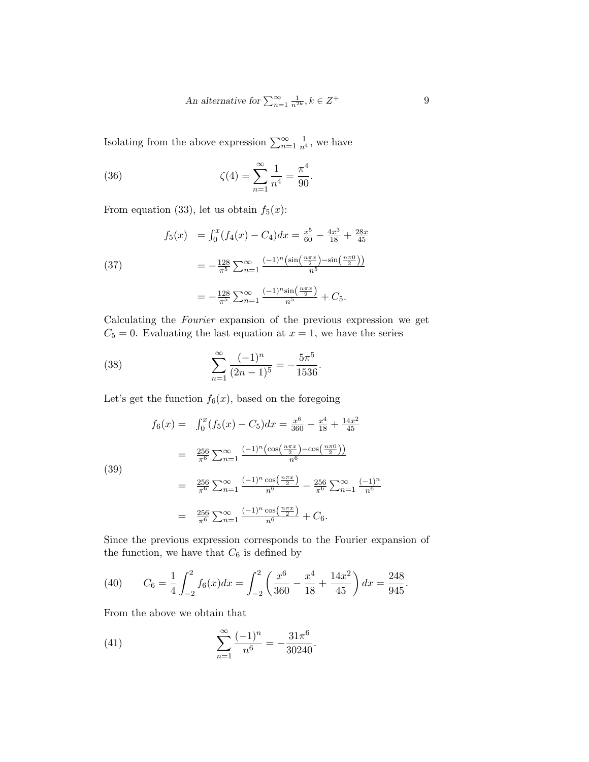An alternative for 
$$
\sum_{n=1}^{\infty} \frac{1}{n^{2k}}, k \in \mathbb{Z}^+
$$
 9

Isolating from the above expression  $\sum_{n=1}^{\infty} \frac{1}{n^4}$ , we have

(36) 
$$
\zeta(4) = \sum_{n=1}^{\infty} \frac{1}{n^4} = \frac{\pi^4}{90}.
$$

From equation (33), let us obtain  $f_5(x)$ :

(37) 
$$
f_5(x) = \int_0^x (f_4(x) - C_4) dx = \frac{x^5}{60} - \frac{4x^3}{18} + \frac{28x}{45}
$$

$$
= -\frac{128}{\pi^5} \sum_{n=1}^\infty \frac{(-1)^n (\sin(\frac{n\pi x}{2}) - \sin(\frac{n\pi 0}{2}))}{n^5}
$$

$$
= -\frac{128}{\pi^5} \sum_{n=1}^\infty \frac{(-1)^n \sin(\frac{n\pi x}{2})}{n^5} + C_5.
$$

Calculating the Fourier expansion of the previous expression we get  $C_5 = 0$ . Evaluating the last equation at  $x = 1$ , we have the series

(38) 
$$
\sum_{n=1}^{\infty} \frac{(-1)^n}{(2n-1)^5} = -\frac{5\pi^5}{1536}.
$$

Let's get the function  $f_6(x)$ , based on the foregoing

(39)  
\n
$$
f_6(x) = \int_0^x (f_5(x) - C_5) dx = \frac{x^6}{360} - \frac{x^4}{18} + \frac{14x^2}{45}
$$
\n
$$
= \frac{256}{\pi^6} \sum_{n=1}^\infty \frac{(-1)^n (\cos(\frac{n\pi x}{2}) - \cos(\frac{n\pi 0}{2}))}{n^6}
$$
\n
$$
= \frac{256}{\pi^6} \sum_{n=1}^\infty \frac{(-1)^n \cos(\frac{n\pi x}{2})}{n^6} - \frac{256}{\pi^6} \sum_{n=1}^\infty \frac{(-1)^n}{n^6}
$$
\n
$$
= \frac{256}{\pi^6} \sum_{n=1}^\infty \frac{(-1)^n \cos(\frac{n\pi x}{2})}{n^6} + C_6.
$$

Since the previous expression corresponds to the Fourier expansion of the function, we have that  $C_6$  is defined by

(40) 
$$
C_6 = \frac{1}{4} \int_{-2}^{2} f_6(x) dx = \int_{-2}^{2} \left( \frac{x^6}{360} - \frac{x^4}{18} + \frac{14x^2}{45} \right) dx = \frac{248}{945}.
$$

From the above we obtain that

(41) 
$$
\sum_{n=1}^{\infty} \frac{(-1)^n}{n^6} = -\frac{31\pi^6}{30240}.
$$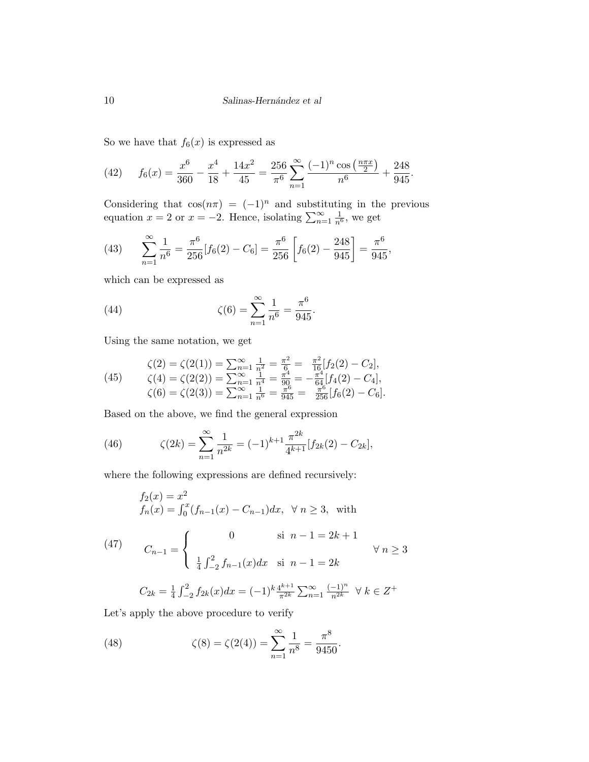So we have that  $f_6(x)$  is expressed as

(42) 
$$
f_6(x) = \frac{x^6}{360} - \frac{x^4}{18} + \frac{14x^2}{45} = \frac{256}{\pi^6} \sum_{n=1}^{\infty} \frac{(-1)^n \cos\left(\frac{n\pi x}{2}\right)}{n^6} + \frac{248}{945}.
$$

Considering that  $\cos(n\pi) = (-1)^n$  and substituting in the previous equation  $x = 2$  or  $x = -2$ . Hence, isolating  $\sum_{n=1}^{\infty} \frac{1}{n^6}$ , we get

(43) 
$$
\sum_{n=1}^{\infty} \frac{1}{n^6} = \frac{\pi^6}{256} [f_6(2) - C_6] = \frac{\pi^6}{256} \left[ f_6(2) - \frac{248}{945} \right] = \frac{\pi^6}{945},
$$

which can be expressed as

(44) 
$$
\zeta(6) = \sum_{n=1}^{\infty} \frac{1}{n^6} = \frac{\pi^6}{945}.
$$

Using the same notation, we get

(45) 
$$
\zeta(2) = \zeta(2(1)) = \sum_{n=1}^{\infty} \frac{1}{n^2} = \frac{\pi^2}{6} = \frac{\pi^2}{16} [f_2(2) - C_2],
$$

$$
\zeta(4) = \zeta(2(2)) = \sum_{n=1}^{\infty} \frac{1}{n^4} = \frac{\pi^4}{90} = -\frac{\pi^4}{64} [f_4(2) - C_4],
$$

$$
\zeta(6) = \zeta(2(3)) = \sum_{n=1}^{\infty} \frac{1}{n^6} = \frac{\pi^6}{945} = \frac{\pi^6}{256} [f_6(2) - C_6].
$$

Based on the above, we find the general expression

(46) 
$$
\zeta(2k) = \sum_{n=1}^{\infty} \frac{1}{n^{2k}} = (-1)^{k+1} \frac{\pi^{2k}}{4^{k+1}} [f_{2k}(2) - C_{2k}],
$$

where the following expressions are defined recursively:

$$
f_2(x) = x^2
$$
  
\n
$$
f_n(x) = \int_0^x (f_{n-1}(x) - C_{n-1}) dx, \ \forall n \ge 3, \text{ with}
$$
  
\n(47)  
\n
$$
C_{n-1} = \begin{cases} 0 & \text{si } n-1 = 2k+1 \\ \frac{1}{4} \int_{-2}^2 f_{n-1}(x) dx & \text{si } n-1 = 2k \end{cases} \forall n \ge 3
$$
  
\n
$$
C_{2k} = \frac{1}{4} \int_{-2}^2 f_{2k}(x) dx = (-1)^k \frac{4^{k+1}}{\pi^{2k}} \sum_{n=1}^\infty \frac{(-1)^n}{n^{2k}} \ \forall k \in \mathbb{Z}^+
$$

Let's apply the above procedure to verify

(48) 
$$
\zeta(8) = \zeta(2(4)) = \sum_{n=1}^{\infty} \frac{1}{n^8} = \frac{\pi^8}{9450}.
$$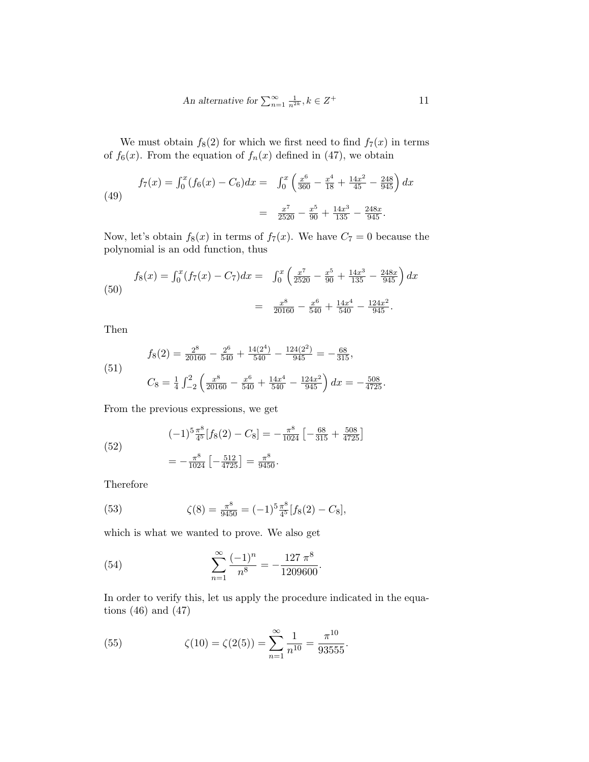An alternative for 
$$
\sum_{n=1}^{\infty} \frac{1}{n^{2k}}, k \in \mathbb{Z}^+
$$
 11

We must obtain  $f_8(2)$  for which we first need to find  $f_7(x)$  in terms of  $f_6(x)$ . From the equation of  $f_n(x)$  defined in (47), we obtain

(49) 
$$
f_7(x) = \int_0^x (f_6(x) - C_6) dx = \int_0^x \left(\frac{x^6}{360} - \frac{x^4}{18} + \frac{14x^2}{45} - \frac{248}{945}\right) dx
$$

$$
= \frac{x^7}{2520} - \frac{x^5}{90} + \frac{14x^3}{135} - \frac{248x}{945}.
$$

Now, let's obtain  $f_8(x)$  in terms of  $f_7(x)$ . We have  $C_7 = 0$  because the polynomial is an odd function, thus

(50)  

$$
f_8(x) = \int_0^x (f_7(x) - C_7) dx = \int_0^x \left( \frac{x^7}{2520} - \frac{x^5}{90} + \frac{14x^3}{135} - \frac{248x}{945} \right) dx
$$

$$
= \frac{x^8}{20160} - \frac{x^6}{540} + \frac{14x^4}{540} - \frac{124x^2}{945}.
$$

Then

(51)  

$$
f_8(2) = \frac{2^8}{20160} - \frac{2^6}{540} + \frac{14(2^4)}{540} - \frac{124(2^2)}{945} = -\frac{68}{315},
$$

$$
C_8 = \frac{1}{4} \int_{-2}^{2} \left( \frac{x^8}{20160} - \frac{x^6}{540} + \frac{14x^4}{540} - \frac{124x^2}{945} \right) dx = -\frac{508}{4725}.
$$

From the previous expressions, we get

(52)  
\n
$$
(-1)^{5} \frac{\pi^{8}}{4^{5}} [f_{8}(2) - C_{8}] = -\frac{\pi^{8}}{1024} \left[ -\frac{68}{315} + \frac{508}{4725} \right]
$$
\n
$$
= -\frac{\pi^{8}}{1024} \left[ -\frac{512}{4725} \right] = \frac{\pi^{8}}{9450}.
$$

Therefore

(53) 
$$
\zeta(8) = \frac{\pi^8}{9450} = (-1)^5 \frac{\pi^8}{4^5} [f_8(2) - C_8],
$$

which is what we wanted to prove. We also get

(54) 
$$
\sum_{n=1}^{\infty} \frac{(-1)^n}{n^8} = -\frac{127 \pi^8}{1209600}.
$$

In order to verify this, let us apply the procedure indicated in the equations  $(46)$  and  $(47)$ 

(55) 
$$
\zeta(10) = \zeta(2(5)) = \sum_{n=1}^{\infty} \frac{1}{n^{10}} = \frac{\pi^{10}}{93555}.
$$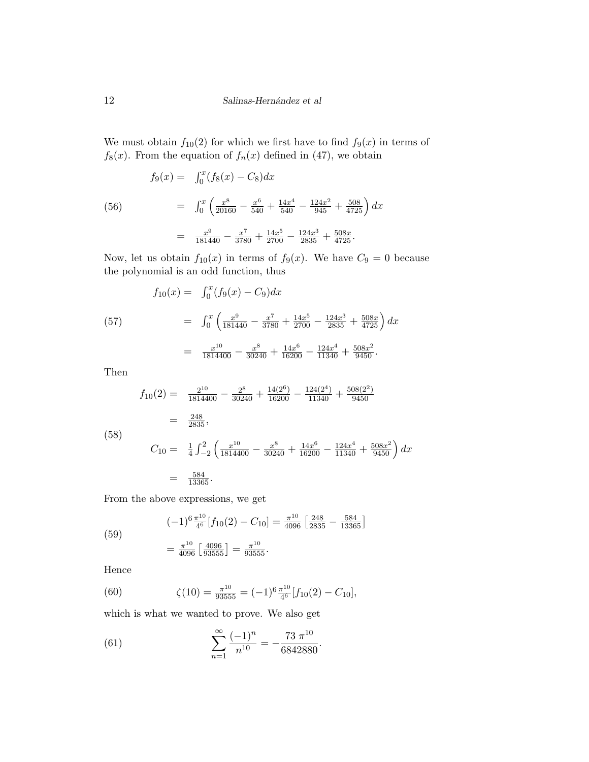We must obtain  $f_{10}(2)$  for which we first have to find  $f_9(x)$  in terms of  $f_8(x)$ . From the equation of  $f_n(x)$  defined in (47), we obtain

(56)  
\n
$$
f_9(x) = \int_0^x (f_8(x) - C_8) dx
$$
\n
$$
= \int_0^x \left( \frac{x^8}{20160} - \frac{x^6}{540} + \frac{14x^4}{540} - \frac{124x^2}{945} + \frac{508}{4725} \right) dx
$$
\n
$$
= \frac{x^9}{181440} - \frac{x^7}{3780} + \frac{14x^5}{2700} - \frac{124x^3}{2835} + \frac{508x}{4725}.
$$

Now, let us obtain  $f_{10}(x)$  in terms of  $f_9(x)$ . We have  $C_9 = 0$  because the polynomial is an odd function, thus

(57) 
$$
f_{10}(x) = \int_0^x (f_9(x) - C_9) dx
$$

$$
= \int_0^x \left( \frac{x^9}{181440} - \frac{x^7}{3780} + \frac{14x^5}{2700} - \frac{124x^3}{2835} + \frac{508x}{4725} \right) dx
$$

$$
= \frac{x^{10}}{1814400} - \frac{x^8}{30240} + \frac{14x^6}{16200} - \frac{124x^4}{11340} + \frac{508x^2}{9450}.
$$

Then

$$
f_{10}(2) = \frac{2^{10}}{1814400} - \frac{2^8}{30240} + \frac{14(2^6)}{16200} - \frac{124(2^4)}{11340} + \frac{508(2^2)}{9450}
$$
  
=  $\frac{248}{2835}$ ,  

$$
C_{10} = \frac{1}{4} \int_{-2}^{2} \left( \frac{x^{10}}{1814400} - \frac{x^8}{30240} + \frac{14x^6}{16200} - \frac{124x^4}{11340} + \frac{508x^2}{9450} \right) dx
$$
  
=  $\frac{584}{13365}$ .

From the above expressions, we get

(59)  
\n
$$
(-1)^{6} \frac{\pi^{10}}{4^{6}} [f_{10}(2) - C_{10}] = \frac{\pi^{10}}{4096} \left[ \frac{248}{2835} - \frac{584}{13365} \right]
$$
\n
$$
= \frac{\pi^{10}}{4096} \left[ \frac{4096}{93555} \right] = \frac{\pi^{10}}{93555}.
$$

Hence

(60) 
$$
\zeta(10) = \frac{\pi^{10}}{93555} = (-1)^6 \frac{\pi^{10}}{4^6} [f_{10}(2) - C_{10}],
$$

which is what we wanted to prove. We also get

(61) 
$$
\sum_{n=1}^{\infty} \frac{(-1)^n}{n^{10}} = -\frac{73 \pi^{10}}{6842880}.
$$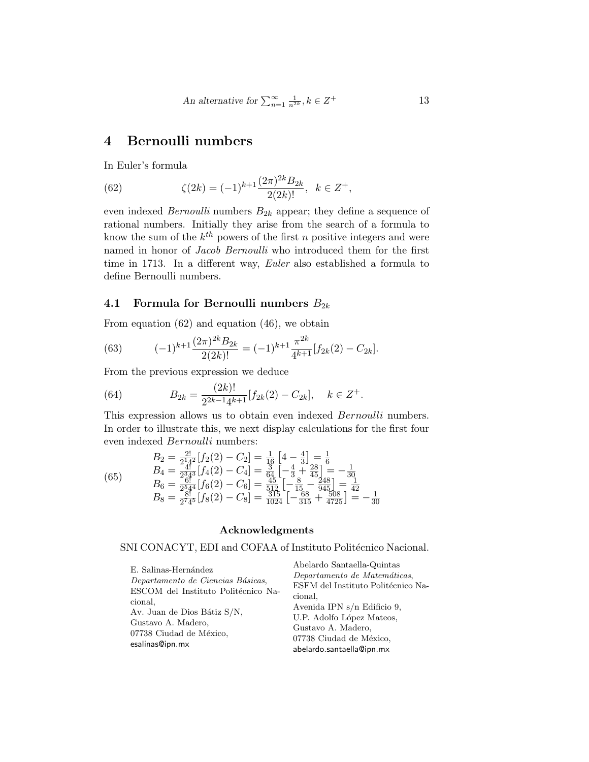An alternative for  $\sum_{n=1}^{\infty} \frac{1}{n^{2k}}$ ,  $k \in \mathbb{Z}$ 

<sup>+</sup> 13

### 4 Bernoulli numbers

In Euler's formula

(62) 
$$
\zeta(2k) = (-1)^{k+1} \frac{(2\pi)^{2k} B_{2k}}{2(2k)!}, \quad k \in \mathbb{Z}^+,
$$

even indexed *Bernoulli* numbers  $B_{2k}$  appear; they define a sequence of rational numbers. Initially they arise from the search of a formula to know the sum of the  $k^{th}$  powers of the first n positive integers and were named in honor of Jacob Bernoulli who introduced them for the first time in 1713. In a different way, Euler also established a formula to define Bernoulli numbers.

#### 4.1 Formula for Bernoulli numbers  $B_{2k}$

From equation (62) and equation (46), we obtain

(63) 
$$
(-1)^{k+1} \frac{(2\pi)^{2k} B_{2k}}{2(2k)!} = (-1)^{k+1} \frac{\pi^{2k}}{4^{k+1}} [f_{2k}(2) - C_{2k}].
$$

From the previous expression we deduce

(64) 
$$
B_{2k} = \frac{(2k)!}{2^{2k-1}4^{k+1}} [f_{2k}(2) - C_{2k}], \quad k \in \mathbb{Z}^+.
$$

This expression allows us to obtain even indexed Bernoulli numbers. In order to illustrate this, we next display calculations for the first four even indexed Bernoulli numbers:

(65) 
$$
B_2 = \frac{2!}{2^1 4^2} [f_2(2) - C_2] = \frac{1}{16} \left[ 4 - \frac{4}{3} \right] = \frac{1}{6}
$$
\n
$$
B_4 = \frac{4!}{2^3 4^3} [f_4(2) - C_4] = \frac{3}{64} \left[ -\frac{4}{3} + \frac{28}{45} \right] = -\frac{1}{30}
$$
\n
$$
B_6 = \frac{6!}{2^5 4^4} [f_6(2) - C_6] = \frac{45}{512} \left[ -\frac{8}{15} - \frac{248}{945} \right] = \frac{1}{42}
$$
\n
$$
B_8 = \frac{8!}{2^7 4^5} [f_8(2) - C_8] = \frac{315}{1024} \left[ -\frac{68}{315} + \frac{508}{4725} \right] = -\frac{1}{30}
$$

#### Acknowledgments

#### SNI CONACYT, EDI and COFAA of Instituto Politécnico Nacional.

| E. Salinas-Hernández<br>Departamento de Ciencias Básicas, | Abelardo Santaella-Quintas<br>Departamento de Matemáticas, |
|-----------------------------------------------------------|------------------------------------------------------------|
| ESCOM del Instituto Politécnico Na-                       | ESFM del Instituto Politécnico Na-                         |
| cional.                                                   | cional.                                                    |
| Av. Juan de Dios Bátiz S/N,                               | Avenida IPN $s/n$ Edificio 9,                              |
| Gustavo A. Madero,                                        | U.P. Adolfo López Mateos,                                  |
| 07738 Ciudad de México,                                   | Gustavo A. Madero,                                         |
| esalinas@ipn.mx                                           | 07738 Ciudad de México.                                    |
|                                                           | abelardo.santaella@ipn.mx                                  |